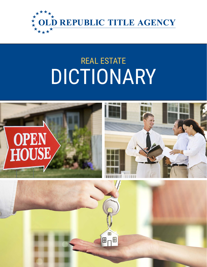

# REAL ESTATE DICTIONARY

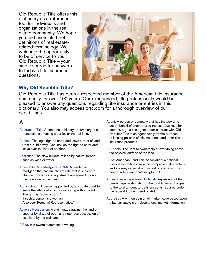Old Republic Title offers this dictionary as a reference tool for individuals and organizations in the real estate community. We hope you find useful its brief definitions of real estaterelated terminology. We welcome the opportunity to be of service to you. Old Republic Title – your single source for answers to today's title insurance questions.

![](_page_1_Picture_1.jpeg)

## **Why Old Republic Title?**

Old Republic Title has been a respected member of the American title insurance community for over 100 years. Our experienced title professionals would be pleased to answer any questions regarding title insurance or entries in this dictionary. You also may access ortc.com for a thorough overview of our capabilities.

## A

- Abstract of Title: A condensed history or summary of all transactions affecting a particular tract of land.
- Access: The legal right to enter and leave a tract of land from a public way. Can include the right to enter and leave over the land of another.
- Accretion: The slow buildup of land by natural forces such as wind or water.
- Adjustable Rate Mortgage (ARM): A residential mortgage that has an interest rate that is subject to change. The times of adjustment are agreed upon at the inception of the loan.
- Administrator: A person appointed by a probate court to settle the affairs of an individual dying without a will. The term is "administratrix" if such a person is a woman. Also see "Personal Representative."
- Adverse Possession: A claim made against the land of another by virtue of open and notorious possession of said land by the claimant.

Affidavit: A sworn statement in writing.

- Agent: A person or company that has the power to act on behalf of another or to transact business for another, e.g., a title agent under contract with Old Republic Title is an agent solely for the purpose of issuing policies of title insurance and other title insurance products.
- Air Rights: The right to ownership of everything above the physical surface of the land.
- ALTA: American Land Title Association, a national association of title insurance companies, abstractors and attorneys specializing in real property law. Its headquarters are in Washington, D.C.
- Annual Percentage Rate (APR): An expression of the percentage relationship of the total finance charges to the total amount to be financed as required under the federal Truth-in-Lending Act.
- Appraisal: A written opinion of market value based upon a factual analysis of relevant local market information.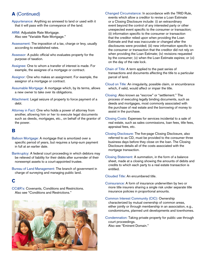## A (Continued)

Appurtenance: Anything so annexed to land or used with it that it will pass with the conveyance of the land.

ARM: Adjustable Rate Mortgage. Also see "Variable Rate Mortgage."

- Assessment: The imposition of a tax, charge or levy, usually according to established rates.
- Assessor: A public official who evaluates property for the purpose of taxation.
- Assignee: One to whom a transfer of interest is made. For example, the assignee of a mortgage or contract.
- Assignor: One who makes an assignment. For example, the assignor of a mortgage or contract.
- Assumable Mortgage: A mortgage which, by its terms, allows a new owner to take over its obligations.
- Attachment: Legal seizure of property to force payment of a debt.
- Attorney in Fact: One who holds a power of attorney from another, allowing him or her to execute legal documents such as deeds, mortgages, etc., on behalf of the grantor of the power.

#### B

- Balloon Mortgage: A mortgage that is amortized over a specific period of years, but requires a lump-sum payment in full at an earlier date.
- Bankruptcy: A federal court proceeding in which debtors may be relieved of liability for their debts after surrender of their nonexempt assets to a court-appointed trustee.
- Bureau of Land Management: The branch of government in charge of surveying and managing public land.

#### C

CC&R's: Covenants, Conditions and Restrictions. Also see "Conditions and Restrictions."

![](_page_2_Picture_16.jpeg)

- Changed Circumstance: In accordance with the TRID Rule, events which allow a creditor to revise a Loan Estimate or a Closing Disclosure include: (i) an extraordinary event beyond the control of any interested party or other unexpected event specific to the consumer or transaction; (ii) information specific to the consumer or transaction that the creditor relied upon when providing the Loan Estimate and that was inaccurate or changed after the disclosures were provided; (iii) new information specific to the consumer or transaction that the creditor did not rely on when providing the Loan Estimate; (iv) revisions requested by the consumer; (v) when the Loan Estimate expires; or (vi) on the day of the rate lock.
- Chain of Title: A term applied to the past series of transactions and documents affecting the title to a particular parcel of land.
- Cloud on Title: An irregularity, possible claim, or encumbrance which, if valid, would affect or impair the title.
- Closing: Also known as "escrow" or "settlement." The process of executing legally binding documents, such as deeds and mortgages, most commonly associated with the purchase of real estate and the borrowing of money to assist in the purchase.
- Closing Costs: Expenses for services incidental to a sale of real estate, such as sales commissions, loan fees, title fees, appraisal fees, etc.
- Closing Disclosure: The five-page Closing Disclosure, also referred to as CD, must be provided to the consumer three business days before they close on the loan. The Closing Disclosure details all of the costs associated with the mortgage transaction.
- Closing Statement: A summation, in the form of a balance sheet, made at a closing showing the amounts of debits and credits to which each party to a real estate transaction is entitled.

Clouded Title: An encumbered title.

- Coinsurance: A form of insurance underwritten by two or more title insurers sharing a single risk under separate title insurance policies in proportional amounts.
- Common Interest Community (CIC): Ownership characterized by mutual ownership of common areas, either jointly or through membership in an association, e.g., condominiums, planned unit developments and townhomes.
- Condemnation: Taking private property for public use through court proceedings. Also see "Eminent Domain."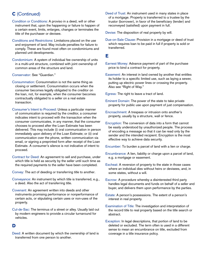## C (Continued)

- Condition or Conditions: A proviso in a deed, will or other instrument that, upon the happening or failure to happen of a certain event, limits, enlarges, changes or terminates the title of the purchaser or devisee.
- Conditions and Restrictions: Limitations placed on the use and enjoyment of land. May include penalties for failure to comply. These are found most often on condominiums and planned unit developments.
- Condominium: A system of individual fee ownership of units in a multi-unit structure, combined with joint ownership of common areas of the structure and land.
- Conservator: See "Guardian."
- Consummation: Consummation is not the same thing as closing or settlement. Consummation occurs when the consumer becomes legally obligated to the creditor on the loan, not, for example, when the consumer becomes contractually obligated to a seller on a real estate transaction.
- Consumer's Intent to Proceed: Unless a particular manner of communication is required by the creditor, a consumer indicates intent to proceed with the transaction when the consumer communicates, in any manner, that the consumer chooses to proceed after the Loan Estimate has been delivered. This may include (i) oral communication in person immediately upon delivery of the Loan Estimate; or (ii) oral communication over the phone, written communication via email, or signing a preprinted form after receipt of the Loan Estimate. A consumer's silence is not indicative of intent to proceed.
- Contract for Deed: An agreement to sell and purchase, under which title is held as security by the seller until such time as the required payments to the seller have been completed.
- Convey: The act of deeding or transferring title to another.
- Conveyance: An instrument by which title is transferred, e.g., a deed. Also the act of transferring title.
- Covenant: An agreement written into deeds and other instruments promising performance or nonperformance of certain acts, or stipulating certain uses or non-uses of the property.
- Cul-de-Sac: The terminus of a street or alley. Usually laid out by modern engineers to provide a circular turnaround for vehicles.

#### D

Deed: A written document by which the ownership of land is transferred from one person to another.

Deed of Trust: An instrument used in many states in place of a mortgage. Property is transferred to a trustee by the trustor (borrower), in favor of the beneficiary (lender) and reconveyed (satisfied) upon payment in full.

Devise: The disposition of real property by will.

Due-on-Sale Clause: Provision in a mortgage or deed of trust which requires loan to be paid in full if property is sold or transferred.

## E

- Earnest Money: Advance payment of part of the purchase price to bind a contract for property.
- Easement: An interest in land owned by another that entitles its holder to a specific limited use, such as laying a sewer, putting up electric power lines or crossing the property. Also see "Right of Way."
- Egress: The right to leave a tract of land.
- Eminent Domain: The power of the state to take private property for public use upon payment of just compensation.
- Encroachment: A trespass or intrusion onto another's property, usually by a structure, wall or fence.
- Encryption: The conversion of data into a form that cannot be easily understood by unauthorized people. The process of encoding a message so that it can be read only by the sender and the intended recipient. Encryption is the most effective way to achieve data security.
- Encumber: To burden a parcel of land with a lien or charge.
- Encumbrance: A lien, liability or charge upon a parcel of land, e.g. a mortgage or easement.
- Escheat: A reversion of property to the state in those cases where an individual dies without heirs or devisees, and, in some states, without a will.
- Escrow: A procedure whereby a disinterested third party handles legal documents and funds on behalf of a seller and buyer, and delivers them upon performance by the parties.
- Estate: A person's possessions. The extent of a person's interest in real property.
- Examination of Title: The investigation and interpretation of the record title to real property based on the title search or abstract.
- Exception: In legal descriptions, that portion of land to be deleted or excluded. The term often is used in a different sense to mean an encumbrance on title, excluded from coverage in a title insurance policy.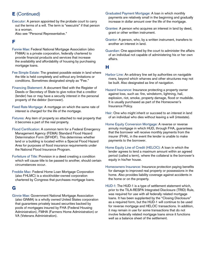## E (Continued)

Executor: A person appointed by the probate court to carry out the terms of a will. The term is "executrix" if that person is a woman.

Also see "Personal Representative."

#### F

- Fannie Mae: Federal National Mortgage Association (also FNMA) is a private corporation, federally chartered to provide financial products and services that increase the availability and affordability of housing by purchasing mortgage loans.
- Fee Simple Estate: The greatest possible estate in land where the title is held completely and without any limitations or conditions. Sometimes designated simply as "Fee."
- Financing Statement: A document filed with the Register of Deeds or Secretary of State to give notice that a creditor (lender) has or may have a security interest in the personal property of the debtor (borrower).
- Fixed Rate Mortgage: A mortgage on which the same rate of interest is charged for the life of the mortgage.
- Fixtures: Any item of property so attached to real property that it becomes a part of the real property.
- Flood Certification: A common term for a Federal Emergency Management Agency (FEMA) Standard Flood Hazard Determination Form (SFHDF). This determines whether land or a building is located within a Special Flood Hazard Area for purposes of flood insurance requirements under the National Flood Insurance Program.
- Forfeiture of Title: Provision in a deed creating a condition which will cause title to be passed to another, should certain circumstances occur.
- Freddie Mac: Federal Home Loan Mortgage Corporation (also FHLMC) is a stockholder-owned corporation chartered by Congress that purchases mortgage loans.

## G

Ginnie Mae: Government National Mortgage Association (also GNMA) is a wholly owned United States corporation that guarantees privately issued securities backed by pools of mortgages insured by FHA (Federal Housing Administration), FMHA (Farmers Home Administration) or VA (Veterans Administration).

- Graduated Payment Mortgage: A loan in which monthly payments are relatively small in the beginning and gradually increase in dollar amount over the life of the mortgage.
- Grantee: A person who acquires an interest in land by deed, grant or other written instrument.
- Grantor: A person, who, by a written instrument, transfers to another an interest in land.
- Guardian: One appointed by the court to administer the affairs of an individual not capable of administering his or her own affairs.

#### H

- Harbor Line: An arbitrary line set by authorities on navigable rivers, beyond which wharves and other structures may not be built. Also designated as line of navigation.
- Hazard Insurance: Insurance protecting a property owner against loss, such as: fire, windstorm, lightning, hail, explosion, riot, smoke, property damage, flood or mudslide. It is usually purchased as part of the Homeowner's Insurance Policy.
- Heir: One who might inherit or succeed to an interest in land of an individual who dies without leaving a will (intestate).
- Home Equity Conversion Mortgage: A reverse or reverse annuity mortgage in which HUD, through FHA, guarantees that the borrower will receive monthly payments from the insurer (FHA), in the event the lender is unable to make payments to the borrower.
- Home Equity Line of Credit (HELOC): A loan in which the lender agrees to lend a maximum amount within an agreed period (called a term), where the collateral is the borrower's equity in his/her house.
- Homeowners Insurance: Insurance protection paying benefits for damage to improved real property or possessions in the home. Also provides liability coverage against accidents in the home or on the property.
- HUD-1: The HUD-1 is a type of settlement statement which, prior to the TILA-RESPA Integrated Disclosure (TRID) Rule, was required for use with all federally related mortgage loans. It has been supplanted by the "Closing Disclosure" as a required form, but the HUD-1 will continue to be used for reverse mortgage and HELOC transactions. In addition, it may remain in use for some transactions that do not involve federally related mortgage loans since it functions well as a balance sheet of the settlement.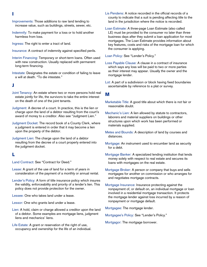- I
- Improvements: Those additions to raw land tending to increase value, such as buildings, streets, sewer, etc.
- Indemnify: To make payment for a loss or to hold another harmless from loss.
- Ingress: The right to enter a tract of land.
- Insurance: A contract of indemnity against specified perils.
- Interim Financing: Temporary or short-term loans. Often used with new construction. Usually replaced with permanent long-term financing.
- Intestate: Designates the estate or condition of failing to leave a will at death. "To die intestate."

#### J

- Joint Tenancy: An estate where two or more persons hold real estate jointly for life, the survivors to take the entire interest on the death of one of the joint tenants.
- Judgment: A decree of a court. In practice, this is the lien or charge upon the land of a debtor resulting from the court's award of money to a creditor. Also see "Judgment Lien."
- Judgment Docket: The record book of a County Clerk, where a judgment is entered in order that it may become a lien upon the property of the debtor.
- Judgment Lien: The charge upon the land of a debtor resulting from the decree of a court properly entered into the judgment docket.

#### L

Land Contract: See "Contract for Deed."

- Lease: A grant of the use of land for a term of years in consideration of the payment of a monthly or annual rental.
- Lender's Policy: A form of title insurance policy which insures the validity, enforceability and priority of a lender's lien. This policy does not provide protection for the owner.

Lessee: One who takes land under a lease.

Lessor: One who grants land under a lease.

Lien: A hold, claim or charge allowed a creditor upon the land of a debtor. Some examples are mortgage liens, judgment liens and mechanics' liens.

Life Estate: A grant or reservation of the right of use, occupancy and ownership for the life of an individual.

- Lis Pendens: A notice recorded in the official records of a county to indicate that a suit is pending affecting title to the land in the jurisdiction where the notice is recorded.
- Loan Estimate: A three-page Loan Estimate (also called LE) must be provided to the consumer no later than three business days after they submit a loan application for most mortgages. The Loan Estimate provides information about key features, costs and risks of the mortgage loan for which the consumer is applying.

Loan Policy: See "Lender's Policy."

- Loss Payable Clause: A clause in a contract of insurance which says any loss will be paid to two or more parties as their interest may appear. Usually the owner and the mortgage lender.
- Lot: A part of a subdivision or block having fixed boundaries ascertainable by reference to a plat or survey.

## M

- Marketable Title: A good title about which there is not fair or reasonable doubt.
- Mechanic's Lien: A lien allowed by statute to contractors, laborers and material suppliers on buildings or other structures upon which work has been performed or materials supplied.
- Metes and Bounds: A description of land by courses and distances.
- Mortgage: An instrument used to encumber land as security for a debt.
- Mortgage Banker: A specialized lending institution that lends money solely with respect to real estate and secures its loans with mortgages on the real estate.
- Mortgage Broker: A person or company that buys and sells mortgages for another on commission or who arranges for and negotiates mortgage contracts.
- Mortgage Insurance: Insurance protecting against the nonpayment of, or default on, an individual mortgage or loan involved in a residential mortgage transaction. It protects the mortgage lender against loss incurred by a reason of nonpayment or mortgage default.

Mortgagee: The mortgage lender.

Mortgagee's Policy: See "Lender's Policy."

Mortgagor: The mortgage borrower.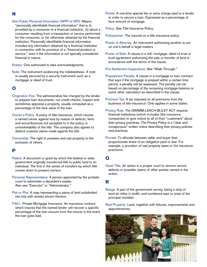#### Non-Public Personal Information (NPPI or NPI): Means

''personally identifiable financial information'' that is (i) provided by a consumer to a financial institution, (ii) about a consumer resulting from a transaction or service performed for the consumer, or (iii) otherwise obtained by the financial institution. Personally identifiable financial information includes any information obtained by a financial institution in connection with its provision of a ''financial product or service,'' even if the information is not typically considered financial in nature.

Notary: One authorized to take acknowledgments.

Note: The instrument evidencing the indebtedness. A note is usually secured by a security instrument such as a mortgage or deed of trust.

#### O

- Origination Fee: The administrative fee charged by the lender to prepare loan documents, run credit checks, inspect and sometimes appraise a property, usually computed as a percentage of the face value of the loan.
- Owner's Policy: A policy of title insurance, which insures a named owner against loss by reason of defects, liens and encumbrances not excepted to in the policy or unmarketability of the title. The company also agrees to defend covered claims made against the title.
- Ownership: The right to possess and use property to the exclusion of others.

## P

- Patent: A document or grant by which the federal or state government originally transferred title to public land to an individual. The first in the series of transfers by which title comes down to present owners.
- Personal Representative: A person appointed by the probate court to administer a decedent's estate. Also see "Executor" or "Administrator."
- Plat or Plot: A map representing a piece of land subdivided into lots with streets shown thereon.
- P.M.I.: Private Mortgage Insurance. An insurance contract which insures that the named lender will recover a specific percentage of the loan amount from the insurer in the event the loan goes bad.

Points: A one-time special fee or extra charge paid to a lender in order to secure a loan. Expressed as a percentage of face amount of mortgage.

Policy: See Title Insurance Policy.

Policyowner: The insured on a title insurance policy.

- Power of Attorney: An instrument authorizing another to act on one's behalf in legal matters.
- Power of Sale: A clause in a will, mortgage, deed of trust or trust agreement authorizing the sale or transfer of land in accordance with the terms of the clause.
- Pre-Settlement Inspections: See "Walk Through."
- Prepayment Penalty: A clause in a mortgage or loan contract that says if the mortgage is prepaid within a certain time period, a penalty will be assessed. The penalty can be based on percentage of the remaining mortgage balance or some other calculation as described in the clause.
- Premium Tax: A tax imposed on all premiums from the business of title insurance. Only applies in some states.
- Privacy Rule: The GRAMM-LEACH-BLILEY ACT requires financial institutions (which includes title insurance companies) to give notice to all of their "customers" about their privacy practices. The Privacy Policy is a "clear and conspicuous" written notice describing their privacy policies and practices.
- Prorate: To allocate between seller and buyer their proportionate share of an obligation paid or due. For example, a proration of real property taxes or fire insurance premiums.

## Q

Quiet Title: An action in a proper court to remove record defects or possible claims of other parties named in the action.

## R

- Range: A part of the government survey, being a strip of land six miles in width, and numbered east or west of the principal meridian.
- Real Property: Land, together with fixtures, improvements and appurtenances.

![](_page_6_Picture_29.jpeg)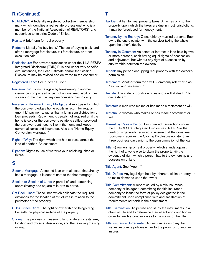## R (Continued)

REALTOR®: A federally registered collective membership mark which identifies a real estate professional who is a member of the National Association of REALTORS® and subscribes to its strict Code of Ethics.

Realty: A brief term for real property.

- Redeem: Literally "to buy back." The act of buying back land after a mortgage foreclosure, tax foreclosure, or other execution sale.
- Redisclosure: For covered transaction under the TILA-RESPA Integrated Disclosure (TRID) Rule and under very specific circumstances, the Loan Estimate and/or the Closing Disclosure may be revised and delivered to the consumer.

Registered Land: See "Torrens Title."

- Reinsurance: To insure again by transferring to another insurance company all or part of an assumed liability, thus spreading the loss risk any one company has to carry.
- Reverse or Reverse Annuity Mortgage: A mortgage for which the borrower pledges home equity in return for regular (monthly) payments, rather than a lump sum distribution of loan proceeds. Repayment is usually not required until the home is sold or the borrower's estate is settled, provided the borrower continues to live in the home and keeps current all taxes and insurance. Also see "Home Equity Conversion Mortgage."
- Right of Way: The right which one has to pass across the land of another. An easement.
- Riparian: Rights to use of waterways in adjoining lakes or rivers.

#### S

- Second Mortgage: A second loan on real estate that already has a mortgage. It is subordinate to the first mortgage.
- Section or Section of Land: A parcel of land comprising approximately one square mile or 640 acres.
- Set Back Lines: Those lines which delineate the required distances for the location of structures in relation to the perimeter of the property.
- Sub-Surface Right: The right of ownership to things lying beneath the physical surface of the property.
- Survey: The process of measuring land to determine its size, location and physical description, and the resulting drawing or map.
- Tax Lien: A lien for real property taxes. Attaches only to the property upon which the taxes are due in most jurisdictions. It may be foreclosed for nonpayment.
- Tenancy by the Entirety: Ownership by married persons. Each owns the entire estate, with the survivor taking the whole upon the other's death.
- Tenancy in Common: An estate or interest in land held by two or more persons, each having equal rights of possession and enjoyment, but without any right of succession by survivorship between the owners.
- Tenant: Any person occupying real property with the owner's permission.
- Testament: Another term for a will. Commonly referred to as "last will and testament."
- Testate: The state or condition of leaving a will at death. "To die testate."
- Testator: A man who makes or has made a testament or will.
- Testatrix: A woman who makes or has made a testament or will.
- Three-Day Review Period: For covered transactions under the TILA-RESPA Integrated Disclosure (TRID) Rule the creditor is generally required to ensure that the consumer (borrower) receives the Closing Disclosure no later than three business days prior to the consummation of the loan.
- Title: (i) ownership of real property, which stands against the right of anyone else to claim the property; (ii) the evidence of right which a person has to the ownership and possession of land.
- Title Agent: See "Agent."
- Title Defect: Any legal right held by others to claim property or to make demands upon the owner.
- Title Commitment: A report issued by a title insurance company or its agent, committing the title insurance company to issue the form of policy designated in the commitment upon compliance with and satisfaction of requirements set forth in the commitment.
- Title Examination: To peruse and study the instruments in a chain of title and to determine their effect and condition in order to reach a conclusion as to the status of the title.
- Title Insurance Underwriter: An insurance company that issues insurance policies either to the public or to another insurer.

## T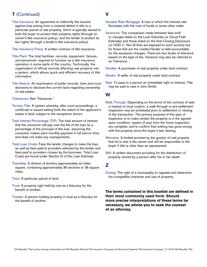## **T** (Continued)

Title Insurance: An agreement to indemnify the insured against loss arising from a covered defect in title to a particular parcel of real property, which is typically issued to both the buyer to protect their property rights (through an owner's title insurance policy), and the lender to protect its lien rights (through a lender's title insurance policy).

Title Insurance Policy: A written contract of title insurance.

- Title Plant: The total facilities: records, equipment, fixtures, and personnel: required to function as a title insurance operation in some parts of the country. Technically, the organization of official records affecting real property into a system, which allows quick and efficient recovery of title information.
- Title Search: An examination of public records, laws and court decisions to disclose the current facts regarding ownership of real estate.

Tolerances: See "Variances."

- Torrens Title: A system whereby, after court proceedings, a certificate is issued setting forth the extent of the applicant's estate in land, subject to the exceptions shown.
- Total Interest Percentage (TIP): The total amount of interest that the consumer will pay over the life of the loan as a percentage of the principal of the loan, assuming the consumer makes each monthly payment in full and on time, and does not make any overpayments.
- Total Loan Costs: Fees the lender charges to make the loan, as well as fees paid to providers selected by the lender and fees paid to providers chosen by the borrower. Total Loan Costs are found under Section D of the Loan Estimate.
- Township: A division of territory approximately six miles square, containing approximately 36 sections or 36 square miles.
- Tract: A particular parcel of land.
- Trust: A property right held by one as a fiduciary for the benefit of another.
- Trustee: A person holding property in trust as a fiduciary for the benefit of another.
- Variable Rate Mortgage: A loan in which the interest rate fluctuates with the cost of funds or some other index.
- Variances: The comparison made between fees and/ or charges listed on the Loan Estimate (or Good Faith Estimate) and those listed on the final Closing Disclosure (or HUD-1). Not all fees are exposed to such scrutiny but for those that are the creditor/lender is held accountable for the excessive charges. There are two levels of tolerance based on the type of fee. Variance may also be referred to as Tolerance.

Vendee: A purchaser of real property under land contract.

Vendor: A seller of real property under land contract.

Vest: To pass to a person an immediate right or interest. Title may be said to vest in John Smith.

#### W

V

- Walk Through: Depending on the terms of the contract of sale or based on local custom, a walk-through or pre-settlement inspection may be scheduled prior to settlement or closing of the transaction. The primary purpose of this type of inspection is to make certain the property is in the agreedupon condition, repairs (if any) from the home inspection are complete, and to confirm that nothing has gone wrong with the property since the buyer's last viewing.
- Warranty: A limited promise by the grantor of real property that he or she is the owner and will be responsible to the buyer if title is other than as represented.
- Will: A written document providing for the distribution of property owned by a person after his or her death.

## Z

Zoning: The right of a municipality to regulate and determine the compatible character and use of property.

**The terms contained in this booklet are defined in their most commonly used form. Should more precise interpretations of these terms be necessary, we advise you to seek the counsel of an attorney.**